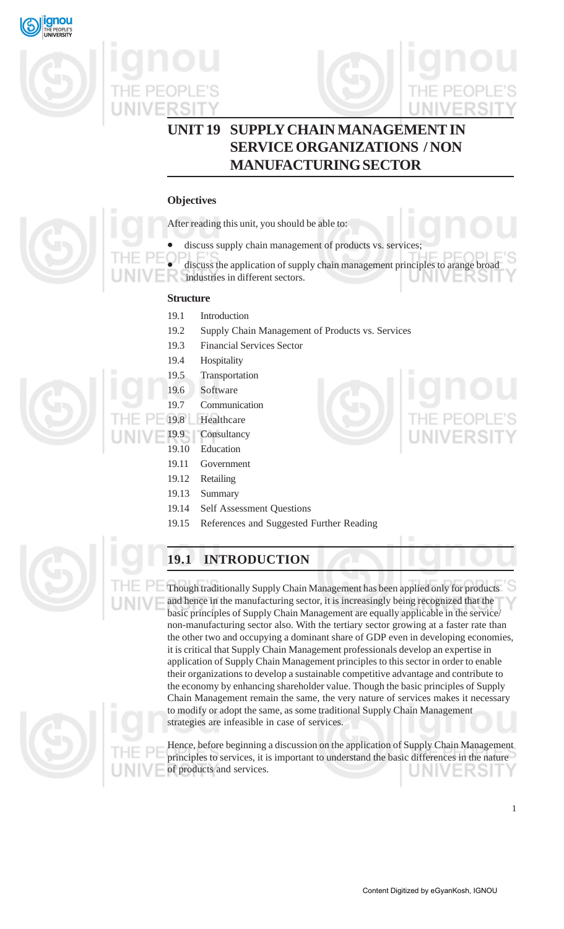



## **UNIT 19 SUPPLY CHAIN MANAGEMENT IN SERVICE ORGANIZATIONS / NON MANUFACTURING SECTOR**

## **Objectives**

After reading this unit, you should be able to:

- discuss supply chain management of products vs. services;
- discuss the application of supply chain management principles to arange broad
- industries in different sectors.

## **Structure**

- 19.1 Introduction
- 19.2 Supply Chain Management of Products vs. Services
- 19.3 Financial Services Sector
- 19.4 Hospitality
- 19.5 Transportation
- 19.6 Software
- 19.7 Communication
- 19.8 Healthcare
	- 19.9 Consultancy
	- 19.10 Education
	- 19.11 Government
	- 19.12 Retailing
	- 19.13 Summary
	- 19.14 Self Assessment Questions
	- 19.15 References and Suggested Further Reading



## **19.1 INTRODUCTION**

Though traditionally Supply Chain Management has been applied only for products and hence in the manufacturing sector, it is increasingly being recognized that the basic principles of Supply Chain Management are equally applicable in the service/ non-manufacturing sector also. With the tertiary sector growing at a faster rate than the other two and occupying a dominant share of GDP even in developing economies, it is critical that Supply Chain Management professionals develop an expertise in application of Supply Chain Management principles to this sector in order to enable their organizations to develop a sustainable competitive advantage and contribute to the economy by enhancing shareholder value. Though the basic principles of Supply Chain Management remain the same, the very nature of services makes it necessary to modify or adopt the same, as some traditional Supply Chain Management strategies are infeasible in case of services.

Hence, before beginning a discussion on the application of Supply Chain Management principles to services, it is important to understand the basic differences in the nature of products and services. JNIV







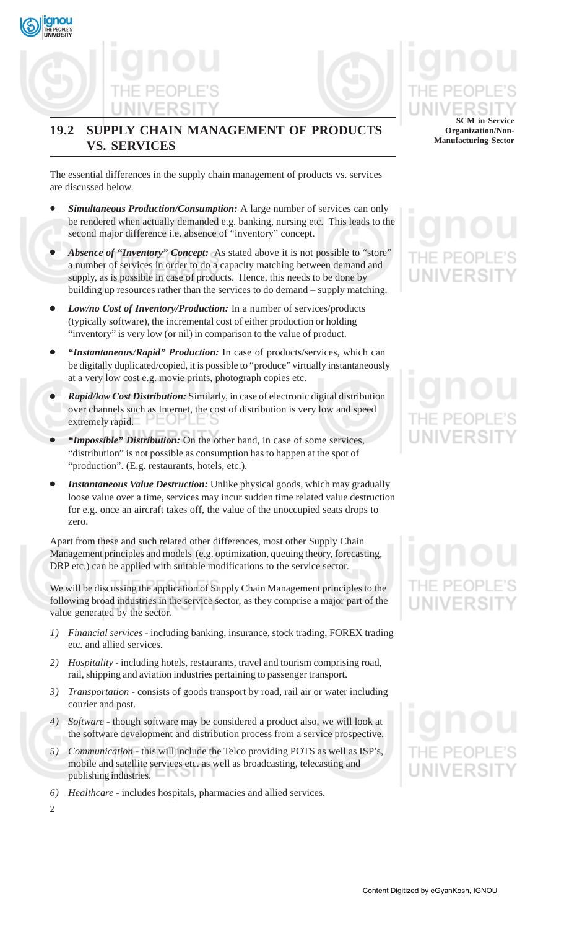## **19.2 SUPPLY CHAIN MANAGEMENT OF PRODUCTS VS. SERVICES**

The essential differences in the supply chain management of products vs. services are discussed below.

- *Simultaneous Production/Consumption:* A large number of services can only be rendered when actually demanded e.g. banking, nursing etc. This leads to the second major difference i.e. absence of "inventory" concept.
- *Absence of "Inventory" Concept:*As stated above it is not possible to "store" a number of services in order to do a capacity matching between demand and supply, as is possible in case of products. Hence, this needs to be done by building up resources rather than the services to do demand – supply matching.
- *Low/no Cost of Inventory/Production:* In a number of services/products (typically software), the incremental cost of either production or holding "inventory" is very low (or nil) in comparison to the value of product.
- *"Instantaneous/Rapid" Production:* In case of products/services, which can be digitally duplicated/copied, it is possible to "produce" virtually instantaneously at a very low cost e.g. movie prints, photograph copies etc.
- *Rapid/low Cost Distribution:* Similarly, in case of electronic digital distribution over channels such as Internet, the cost of distribution is very low and speed extremely rapid.
- *"Impossible" Distribution:* On the other hand, in case of some services, "distribution" is not possible as consumption has to happen at the spot of "production". (E.g. restaurants, hotels, etc.).
- *Instantaneous Value Destruction:* Unlike physical goods, which may gradually loose value over a time, services may incur sudden time related value destruction for e.g. once an aircraft takes off, the value of the unoccupied seats drops to zero.

Apart from these and such related other differences, most other Supply Chain Management principles and models (e.g. optimization, queuing theory, forecasting, DRP etc.) can be applied with suitable modifications to the service sector.

We will be discussing the application of Supply Chain Management principles to the following broad industries in the service sector, as they comprise a major part of the value generated by the sector.

- *1) Financial services* including banking, insurance, stock trading, FOREX trading etc. and allied services.
- *2) Hospitality* including hotels, restaurants, travel and tourism comprising road, rail, shipping and aviation industries pertaining to passenger transport.
- *3) Transportation* consists of goods transport by road, rail air or water including courier and post.
- *4) Software* though software may be considered a product also, we will look at the software development and distribution process from a service prospective.
- *5) Communication* this will include the Telco providing POTS as well as ISP's, mobile and satellite services etc. as well as broadcasting, telecasting and publishing industries.
- *6) Healthcare* includes hospitals, pharmacies and allied services.

2

**gnou** 

**SCM in Service Organization/Non-Manufacturing Sector**

## NIVERSI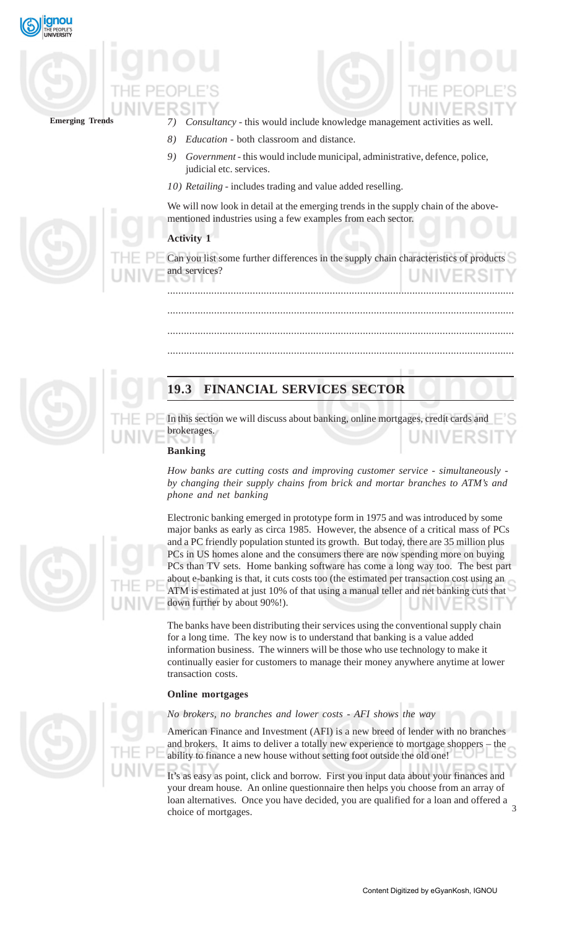



- *7) Consultancy* this would include knowledge management activities as well.
- *8) Education* both classroom and distance.
- *9) Government* this would include municipal, administrative, defence, police, judicial etc. services.
- *10) Retailing* includes trading and value added reselling.

We will now look in detail at the emerging trends in the supply chain of the abovementioned industries using a few examples from each sector.

### **Activity 1**

Can you list some further differences in the supply chain characteristics of products and services?

..............................................................................................................................

..............................................................................................................................

..............................................................................................................................

..............................................................................................................................

## **19.3 FINANCIAL SERVICES SECTOR**

In this section we will discuss about banking, online mortgages, credit cards and brokerages.

### **Banking**

*How banks are cutting costs and improving customer service - simultaneously by changing their supply chains from brick and mortar branches to ATM's and phone and net banking*

Electronic banking emerged in prototype form in 1975 and was introduced by some major banks as early as circa 1985. However, the absence of a critical mass of PCs and a PC friendly population stunted its growth. But today, there are 35 million plus PCs in US homes alone and the consumers there are now spending more on buying PCs than TV sets. Home banking software has come a long way too. The best part about e-banking is that, it cuts costs too (the estimated per transaction cost using an ATM is estimated at just 10% of that using a manual teller and net banking cuts that down further by about 90%!).

The banks have been distributing their services using the conventional supply chain for a long time. The key now is to understand that banking is a value added information business. The winners will be those who use technology to make it continually easier for customers to manage their money anywhere anytime at lower transaction costs.

### **Online mortgages**

### *No brokers, no branches and lower costs - AFI shows the way*

American Finance and Investment (AFI) is a new breed of lender with no branches and brokers. It aims to deliver a totally new experience to mortgage shoppers – the ability to finance a new house without setting foot outside the old one!

 $\overline{a}$ It's as easy as point, click and borrow. First you input data about your finances and your dream house. An online questionnaire then helps you choose from an array of loan alternatives. Once you have decided, you are qualified for a loan and offered a choice of mortgages.

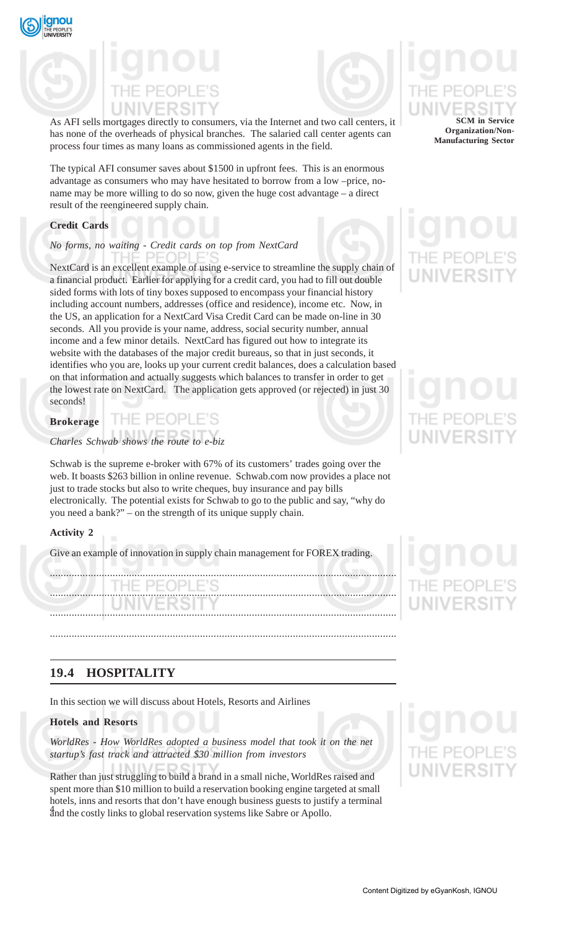



As AFI sells mortgages directly to consumers, via the Internet and two call centers, it has none of the overheads of physical branches. The salaried call center agents can process four times as many loans as commissioned agents in the field.

The typical AFI consumer saves about \$1500 in upfront fees. This is an enormous advantage as consumers who may have hesitated to borrow from a low –price, noname may be more willing to do so now, given the huge cost advantage – a direct result of the reengineered supply chain.

### **Credit Cards**

## *No forms, no waiting - Credit cards on top from NextCard*

NextCard is an excellent example of using e-service to streamline the supply chain of a financial product. Earlier for applying for a credit card, you had to fill out double sided forms with lots of tiny boxes supposed to encompass your financial history including account numbers, addresses (office and residence), income etc. Now, in the US, an application for a NextCard Visa Credit Card can be made on-line in 30 seconds. All you provide is your name, address, social security number, annual income and a few minor details. NextCard has figured out how to integrate its website with the databases of the major credit bureaus, so that in just seconds, it identifies who you are, looks up your current credit balances, does a calculation based on that information and actually suggests which balances to transfer in order to get the lowest rate on NextCard. The application gets approved (or rejected) in just 30 seconds!

| <b>Brokerage</b> |  |  |  |  |  |
|------------------|--|--|--|--|--|
|                  |  |  |  |  |  |

## *Charles Schwab shows the route to e-biz*

Schwab is the supreme e-broker with 67% of its customers' trades going over the web. It boasts \$263 billion in online revenue. Schwab.com now provides a place not just to trade stocks but also to write cheques, buy insurance and pay bills electronically. The potential exists for Schwab to go to the public and say, "why do you need a bank?" – on the strength of its unique supply chain.

### **Activity 2**

Give an example of innovation in supply chain management for FOREX trading.

...............................................................................................................................

............................................................................................................................... ............................................................................................................................... ...............................................................................................................................

## **19.4 HOSPITALITY**

In this section we will discuss about Hotels, Resorts and Airlines

## **Hotels and Resorts**

*WorldRes - How WorldRes adopted a business model that took it on the net startup's fast track and attracted \$30 million from investors*

4 and the costly links to global reservation systems like Sabre or Apollo. Rather than just struggling to build a brand in a small niche, WorldRes raised and spent more than \$10 million to build a reservation booking engine targeted at small hotels, inns and resorts that don't have enough business guests to justify a terminal

### **SCM in Service Organization/Non-Manufacturing Sector**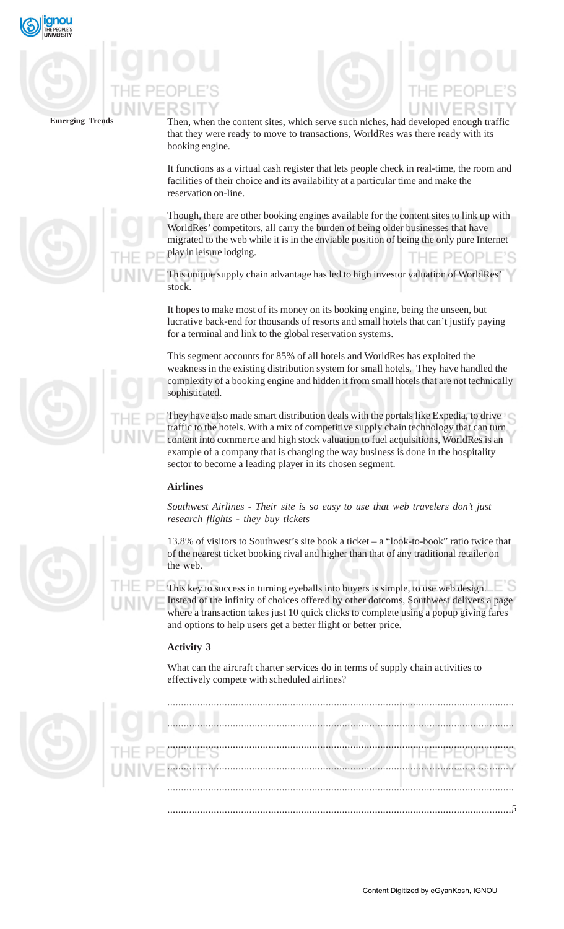

Then, when the content sites, which serve such niches, had developed enough traffic that they were ready to move to transactions, WorldRes was there ready with its booking engine.

It functions as a virtual cash register that lets people check in real-time, the room and facilities of their choice and its availability at a particular time and make the reservation on-line.

Though, there are other booking engines available for the content sites to link up with WorldRes' competitors, all carry the burden of being older businesses that have migrated to the web while it is in the enviable position of being the only pure Internet play in leisure lodging. THE PEOPI

This unique supply chain advantage has led to high investor valuation of WorldRes' stock.

It hopes to make most of its money on its booking engine, being the unseen, but lucrative back-end for thousands of resorts and small hotels that can't justify paying for a terminal and link to the global reservation systems.

This segment accounts for 85% of all hotels and WorldRes has exploited the weakness in the existing distribution system for small hotels. They have handled the complexity of a booking engine and hidden it from small hotels that are not technically sophisticated.

They have also made smart distribution deals with the portals like Expedia, to drive traffic to the hotels. With a mix of competitive supply chain technology that can turn content into commerce and high stock valuation to fuel acquisitions, WorldRes is an example of a company that is changing the way business is done in the hospitality sector to become a leading player in its chosen segment.

## **Airlines**

*Southwest Airlines - Their site is so easy to use that web travelers don't just research flights - they buy tickets*

13.8% of visitors to Southwest's site book a ticket – a "look-to-book" ratio twice that of the nearest ticket booking rival and higher than that of any traditional retailer on the web.

This key to success in turning eyeballs into buyers is simple, to use web design. Instead of the infinity of choices offered by other dotcoms, Southwest delivers a page where a transaction takes just 10 quick clicks to complete using a popup giving fares and options to help users get a better flight or better price.

## **Activity 3**

What can the aircraft charter services do in terms of supply chain activities to effectively compete with scheduled airlines?









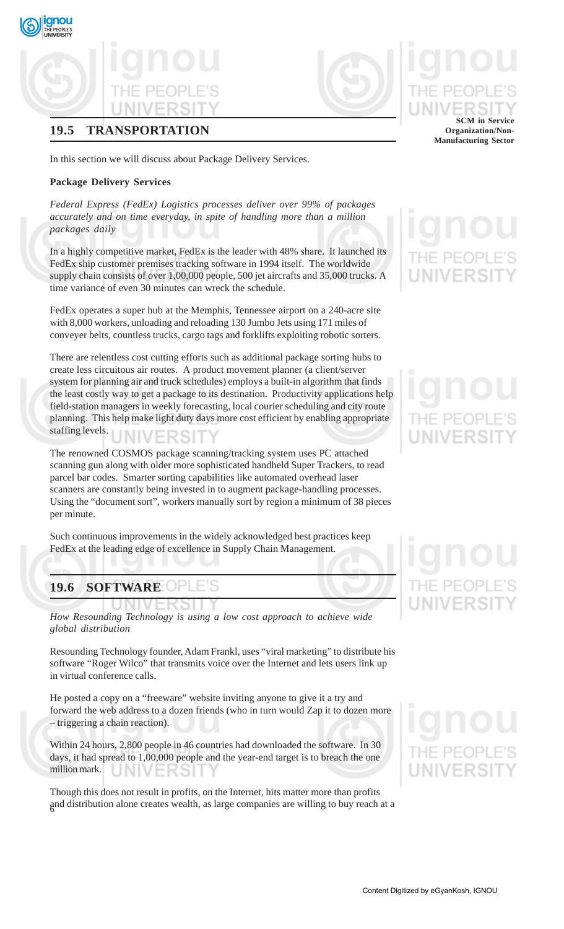## **19.5 TRANSPORTATION**

In this section we will discuss about Package Delivery Services.

### **Package Delivery Services**

qnou

*Federal Express (FedEx) Logistics processes deliver over 99% of packages accurately and on time everyday, in spite of handling more than a million packages daily*

In a highly competitive market, FedEx is the leader with 48% share. It launched its FedEx ship customer premises tracking software in 1994 itself. The worldwide supply chain consists of over 1,00,000 people, 500 jet aircrafts and 35,000 trucks. A time variance of even 30 minutes can wreck the schedule.

FedEx operates a super hub at the Memphis, Tennessee airport on a 240-acre site with 8,000 workers, unloading and reloading 130 Jumbo Jets using 171 miles of conveyer belts, countless trucks, cargo tags and forklifts exploiting robotic sorters.

There are relentless cost cutting efforts such as additional package sorting hubs to create less circuitous air routes. A product movement planner (a client/server system for planning air and truck schedules) employs a built-in algorithm that finds the least costly way to get a package to its destination. Productivity applications help field-station managers in weekly forecasting, local courier scheduling and city route planning. This help make light duty days more cost efficient by enabling appropriate staffing levels. JNIVERSIT

The renowned COSMOS package scanning/tracking system uses PC attached scanning gun along with older more sophisticated handheld Super Trackers, to read parcel bar codes. Smarter sorting capabilities like automated overhead laser scanners are constantly being invested in to augment package-handling processes. Using the "document sort", workers manually sort by region a minimum of 38 pieces per minute.

Such continuous improvements in the widely acknowledged best practices keep FedEx at the leading edge of excellence in Supply Chain Management.

## **19.6 SOFTWARE**

*How Resounding Technology is using a low cost approach to achieve wide global distribution*

Resounding Technology founder, Adam Frankl, uses "viral marketing" to distribute his software "Roger Wilco" that transmits voice over the Internet and lets users link up in virtual conference calls.

He posted a copy on a "freeware" website inviting anyone to give it a try and forward the web address to a dozen friends (who in turn would Zap it to dozen more – triggering a chain reaction).

Within 24 hours, 2,800 people in 46 countries had downloaded the software. In 30 days, it had spread to 1,00,000 people and the year-end target is to breach the one million mark. ERSI

6 and distribution alone creates wealth, as large companies are willing to buy reach at a Though this does not result in profits, on the Internet, hits matter more than profits

### **SCM in Service Organization/Non-Manufacturing Sector**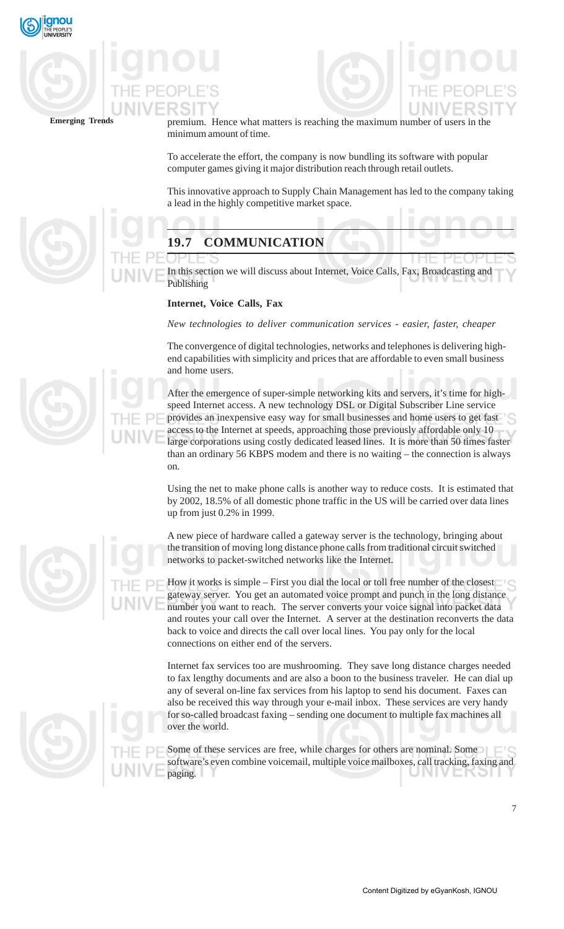



premium. Hence what matters is reaching the maximum number of users in the minimum amount of time.

To accelerate the effort, the company is now bundling its software with popular computer games giving it major distribution reach through retail outlets.

This innovative approach to Supply Chain Management has led to the company taking a lead in the highly competitive market space.

## **19.7 COMMUNICATION**

In this section we will discuss about Internet, Voice Calls, Fax, Broadcasting and Publishing

### **Internet, Voice Calls, Fax**

*New technologies to deliver communication services - easier, faster, cheaper*

The convergence of digital technologies, networks and telephones is delivering highend capabilities with simplicity and prices that are affordable to even small business and home users.

After the emergence of super-simple networking kits and servers, it's time for highspeed Internet access. A new technology DSL or Digital Subscriber Line service provides an inexpensive easy way for small businesses and home users to get fast access to the Internet at speeds, approaching those previously affordable only 10 large corporations using costly dedicated leased lines. It is more than 50 times faster than an ordinary 56 KBPS modem and there is no waiting – the connection is always on.

Using the net to make phone calls is another way to reduce costs. It is estimated that by 2002, 18.5% of all domestic phone traffic in the US will be carried over data lines up from just 0.2% in 1999.

A new piece of hardware called a gateway server is the technology, bringing about the transition of moving long distance phone calls from traditional circuit switched networks to packet-switched networks like the Internet.

How it works is simple – First you dial the local or toll free number of the closest gateway server. You get an automated voice prompt and punch in the long distance number you want to reach. The server converts your voice signal into packet data and routes your call over the Internet. A server at the destination reconverts the data back to voice and directs the call over local lines. You pay only for the local connections on either end of the servers.

Internet fax services too are mushrooming. They save long distance charges needed to fax lengthy documents and are also a boon to the business traveler. He can dial up any of several on-line fax services from his laptop to send his document. Faxes can also be received this way through your e-mail inbox. These services are very handy for so-called broadcast faxing – sending one document to multiple fax machines all over the world.

Some of these services are free, while charges for others are nominal. Some software's even combine voicemail, multiple voice mailboxes, call tracking, faxing and paging.





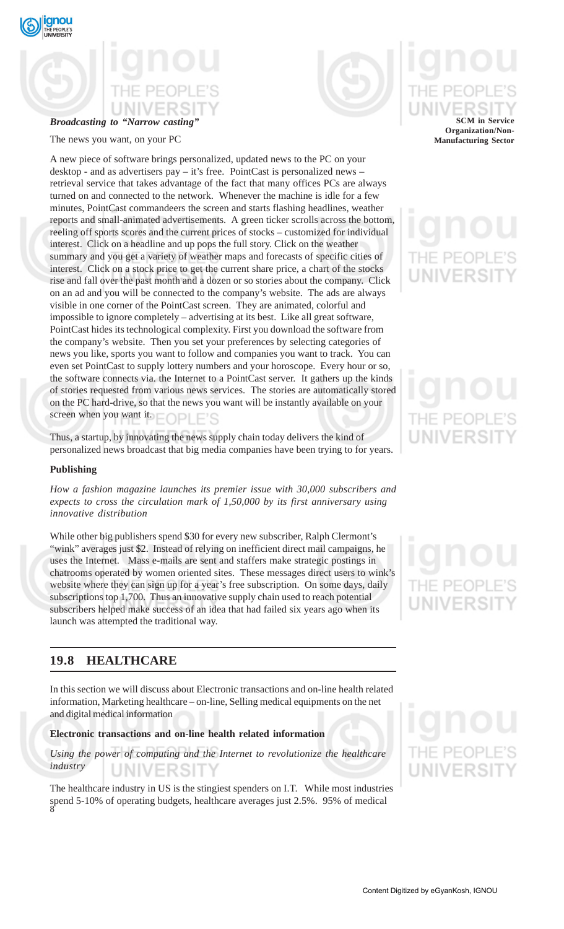

## **Broadcasting to "Narrow casting"**



## The news you want, on your PC

A new piece of software brings personalized, updated news to the PC on your desktop - and as advertisers pay – it's free. PointCast is personalized news – retrieval service that takes advantage of the fact that many offices PCs are always turned on and connected to the network. Whenever the machine is idle for a few minutes, PointCast commandeers the screen and starts flashing headlines, weather reports and small-animated advertisements. A green ticker scrolls across the bottom, reeling off sports scores and the current prices of stocks – customized for individual interest. Click on a headline and up pops the full story. Click on the weather summary and you get a variety of weather maps and forecasts of specific cities of interest. Click on a stock price to get the current share price, a chart of the stocks rise and fall over the past month and a dozen or so stories about the company. Click on an ad and you will be connected to the company's website. The ads are always visible in one corner of the PointCast screen. They are animated, colorful and impossible to ignore completely – advertising at its best. Like all great software, PointCast hides its technological complexity. First you download the software from the company's website. Then you set your preferences by selecting categories of news you like, sports you want to follow and companies you want to track. You can even set PointCast to supply lottery numbers and your horoscope. Every hour or so, the software connects via. the Internet to a PointCast server. It gathers up the kinds of stories requested from various news services. The stories are automatically stored on the PC hard-drive, so that the news you want will be instantly available on your screen when you want it.

Thus, a startup, by innovating the news supply chain today delivers the kind of personalized news broadcast that big media companies have been trying to for years.

### **Publishing**

*How a fashion magazine launches its premier issue with 30,000 subscribers and expects to cross the circulation mark of 1,50,000 by its first anniversary using innovative distribution*

While other big publishers spend \$30 for every new subscriber, Ralph Clermont's "wink" averages just \$2. Instead of relying on inefficient direct mail campaigns, he uses the Internet. Mass e-mails are sent and staffers make strategic postings in chatrooms operated by women oriented sites. These messages direct users to wink's website where they can sign up for a year's free subscription. On some days, daily subscriptions top 1,700. Thus an innovative supply chain used to reach potential subscribers helped make success of an idea that had failed six years ago when its launch was attempted the traditional way.

## **19.8 HEALTHCARE**

In this section we will discuss about Electronic transactions and on-line health related information, Marketing healthcare – on-line, Selling medical equipments on the net and digital medical information

### **Electronic transactions and on-line health related information**

*Using the power of computing and the Internet to revolutionize the healthcare industry* UNIVERSI

8 The healthcare industry in US is the stingiest spenders on I.T. While most industries spend 5-10% of operating budgets, healthcare averages just 2.5%. 95% of medical

## **SCM in Service Organization/Non-Manufacturing Sector**

## -IF PF(

# JNIVERSI

## THE PEC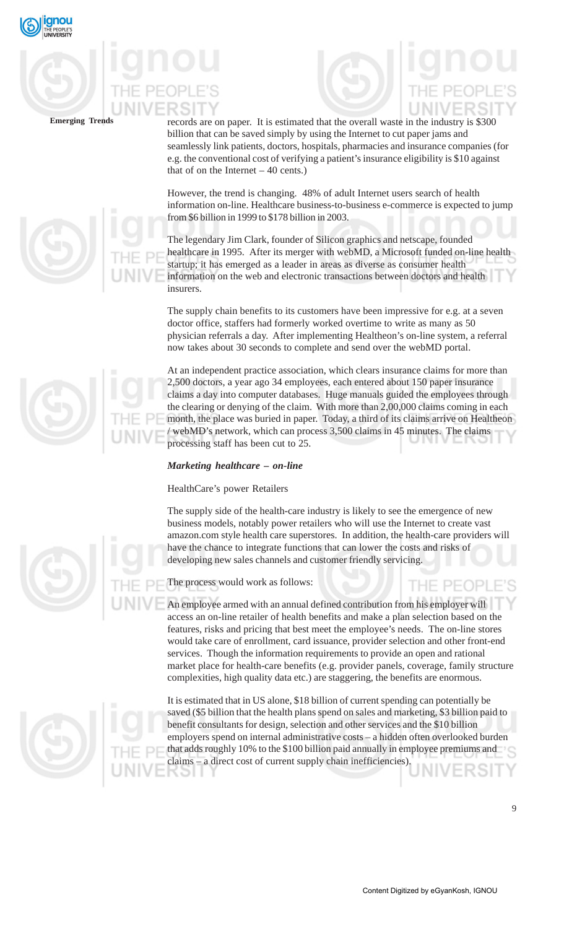

records are on paper. It is estimated that the overall waste in the industry is \$300 billion that can be saved simply by using the Internet to cut paper jams and seamlessly link patients, doctors, hospitals, pharmacies and insurance companies (for e.g. the conventional cost of verifying a patient's insurance eligibility is \$10 against that of on the Internet  $-40$  cents.)

However, the trend is changing. 48% of adult Internet users search of health information on-line. Healthcare business-to-business e-commerce is expected to jump from \$6 billion in 1999 to \$178 billion in 2003.

The legendary Jim Clark, founder of Silicon graphics and netscape, founded healthcare in 1995. After its merger with webMD, a Microsoft funded on-line health startup; it has emerged as a leader in areas as diverse as consumer health information on the web and electronic transactions between doctors and health insurers.

The supply chain benefits to its customers have been impressive for e.g. at a seven doctor office, staffers had formerly worked overtime to write as many as 50 physician referrals a day. After implementing Healtheon's on-line system, a referral now takes about 30 seconds to complete and send over the webMD portal.

At an independent practice association, which clears insurance claims for more than 2,500 doctors, a year ago 34 employees, each entered about 150 paper insurance claims a day into computer databases. Huge manuals guided the employees through the clearing or denying of the claim. With more than 2,00,000 claims coming in each month, the place was buried in paper. Today, a third of its claims arrive on Healtheon / webMD's network, which can process 3,500 claims in 45 minutes. The claims processing staff has been cut to 25.

## *Marketing healthcare – on-line*

## HealthCare's power Retailers

The supply side of the health-care industry is likely to see the emergence of new business models, notably power retailers who will use the Internet to create vast amazon.com style health care superstores. In addition, the health-care providers will have the chance to integrate functions that can lower the costs and risks of developing new sales channels and customer friendly servicing.

The process would work as follows:

An employee armed with an annual defined contribution from his employer will access an on-line retailer of health benefits and make a plan selection based on the features, risks and pricing that best meet the employee's needs. The on-line stores would take care of enrollment, card issuance, provider selection and other front-end services. Though the information requirements to provide an open and rational market place for health-care benefits (e.g. provider panels, coverage, family structure complexities, high quality data etc.) are staggering, the benefits are enormous.

It is estimated that in US alone, \$18 billion of current spending can potentially be saved (\$5 billion that the health plans spend on sales and marketing, \$3 billion paid to benefit consultants for design, selection and other services and the \$10 billion employers spend on internal administrative costs – a hidden often overlooked burden that adds roughly 10% to the \$100 billion paid annually in employee premiums and claims – a direct cost of current supply chain inefficiencies).



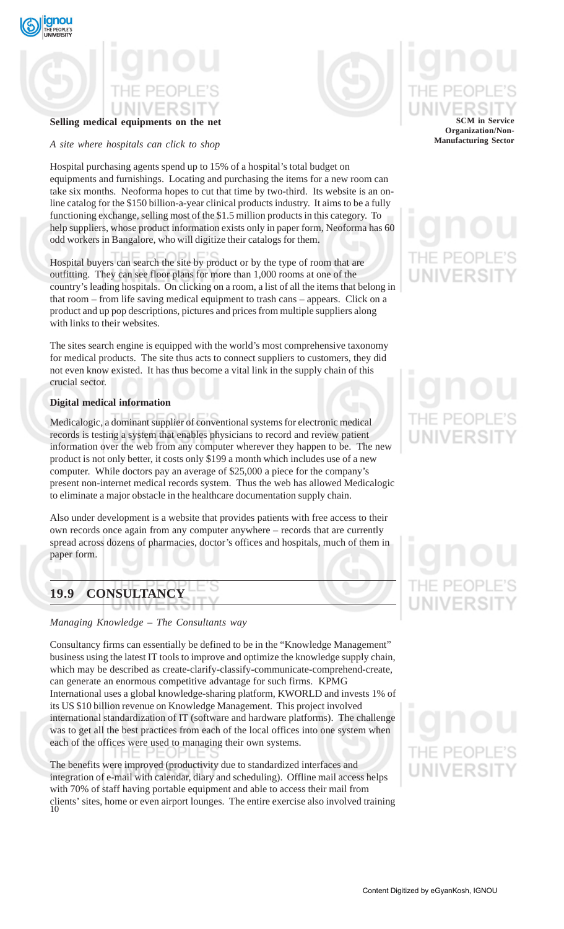

## **Selling medical equipments on the net**

*A site where hospitals can click to shop*

Hospital purchasing agents spend up to 15% of a hospital's total budget on equipments and furnishings. Locating and purchasing the items for a new room can take six months. Neoforma hopes to cut that time by two-third. Its website is an online catalog for the \$150 billion-a-year clinical products industry. It aims to be a fully functioning exchange, selling most of the \$1.5 million products in this category. To help suppliers, whose product information exists only in paper form, Neoforma has 60 odd workers in Bangalore, who will digitize their catalogs for them.

Hospital buyers can search the site by product or by the type of room that are outfitting. They can see floor plans for more than 1,000 rooms at one of the country's leading hospitals. On clicking on a room, a list of all the items that belong in that room – from life saving medical equipment to trash cans – appears. Click on a product and up pop descriptions, pictures and prices from multiple suppliers along with links to their websites.

The sites search engine is equipped with the world's most comprehensive taxonomy for medical products. The site thus acts to connect suppliers to customers, they did not even know existed. It has thus become a vital link in the supply chain of this crucial sector.

### **Digital medical information**

Medicalogic, a dominant supplier of conventional systems for electronic medical records is testing a system that enables physicians to record and review patient information over the web from any computer wherever they happen to be. The new product is not only better, it costs only \$199 a month which includes use of a new computer. While doctors pay an average of \$25,000 a piece for the company's present non-internet medical records system. Thus the web has allowed Medicalogic to eliminate a major obstacle in the healthcare documentation supply chain.

Also under development is a website that provides patients with free access to their own records once again from any computer anywhere – records that are currently spread across dozens of pharmacies, doctor's offices and hospitals, much of them in paper form.

## **19.9 CONSULTANCY**

*Managing Knowledge – The Consultants way*

Consultancy firms can essentially be defined to be in the "Knowledge Management" business using the latest IT tools to improve and optimize the knowledge supply chain, which may be described as create-clarify-classify-communicate-comprehend-create, can generate an enormous competitive advantage for such firms. KPMG International uses a global knowledge-sharing platform, KWORLD and invests 1% of its US \$10 billion revenue on Knowledge Management. This project involved international standardization of IT (software and hardware platforms). The challenge was to get all the best practices from each of the local offices into one system when each of the offices were used to managing their own systems.

10 The benefits were improved (productivity due to standardized interfaces and integration of e-mail with calendar, diary and scheduling). Offline mail access helps with 70% of staff having portable equipment and able to access their mail from clients' sites, home or even airport lounges. The entire exercise also involved training

## **SCM in Service Organization/Non-**

**Manufacturing Sector**

## = PFOP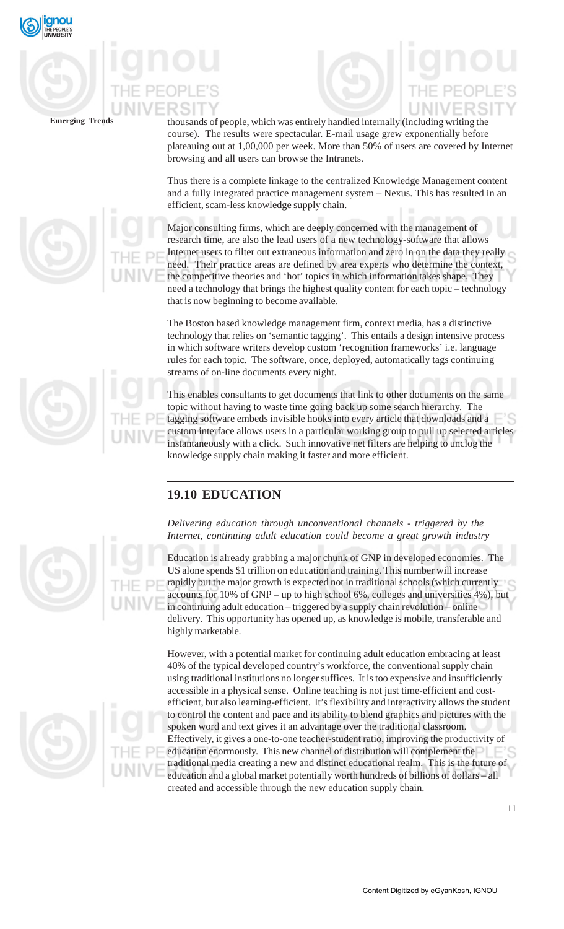

thousands of people, which was entirely handled internally (including writing the course). The results were spectacular. E-mail usage grew exponentially before plateauing out at 1,00,000 per week. More than 50% of users are covered by Internet browsing and all users can browse the Intranets.

Thus there is a complete linkage to the centralized Knowledge Management content and a fully integrated practice management system – Nexus. This has resulted in an efficient, scam-less knowledge supply chain.

Major consulting firms, which are deeply concerned with the management of research time, are also the lead users of a new technology-software that allows Internet users to filter out extraneous information and zero in on the data they really need. Their practice areas are defined by area experts who determine the context, the competitive theories and 'hot' topics in which information takes shape. They need a technology that brings the highest quality content for each topic – technology that is now beginning to become available.

The Boston based knowledge management firm, context media, has a distinctive technology that relies on 'semantic tagging'. This entails a design intensive process in which software writers develop custom 'recognition frameworks' i.e. language rules for each topic. The software, once, deployed, automatically tags continuing streams of on-line documents every night.

This enables consultants to get documents that link to other documents on the same topic without having to waste time going back up some search hierarchy. The tagging software embeds invisible hooks into every article that downloads and a custom interface allows users in a particular working group to pull up selected articles instantaneously with a click. Such innovative net filters are helping to unclog the knowledge supply chain making it faster and more efficient.

## **19.10 EDUCATION**

*Delivering education through unconventional channels - triggered by the Internet, continuing adult education could become a great growth industry*

Education is already grabbing a major chunk of GNP in developed economies. The US alone spends \$1 trillion on education and training. This number will increase rapidly but the major growth is expected not in traditional schools (which currently accounts for 10% of GNP – up to high school 6%, colleges and universities 4%), but in continuing adult education – triggered by a supply chain revolution – online delivery. This opportunity has opened up, as knowledge is mobile, transferable and highly marketable.

However, with a potential market for continuing adult education embracing at least 40% of the typical developed country's workforce, the conventional supply chain using traditional institutions no longer suffices. It is too expensive and insufficiently accessible in a physical sense. Online teaching is not just time-efficient and costefficient, but also learning-efficient. It's flexibility and interactivity allows the student to control the content and pace and its ability to blend graphics and pictures with the spoken word and text gives it an advantage over the traditional classroom. Effectively, it gives a one-to-one teacher-student ratio, improving the productivity of education enormously. This new channel of distribution will complement the traditional media creating a new and distinct educational realm. This is the future of education and a global market potentially worth hundreds of billions of dollars – all created and accessible through the new education supply chain.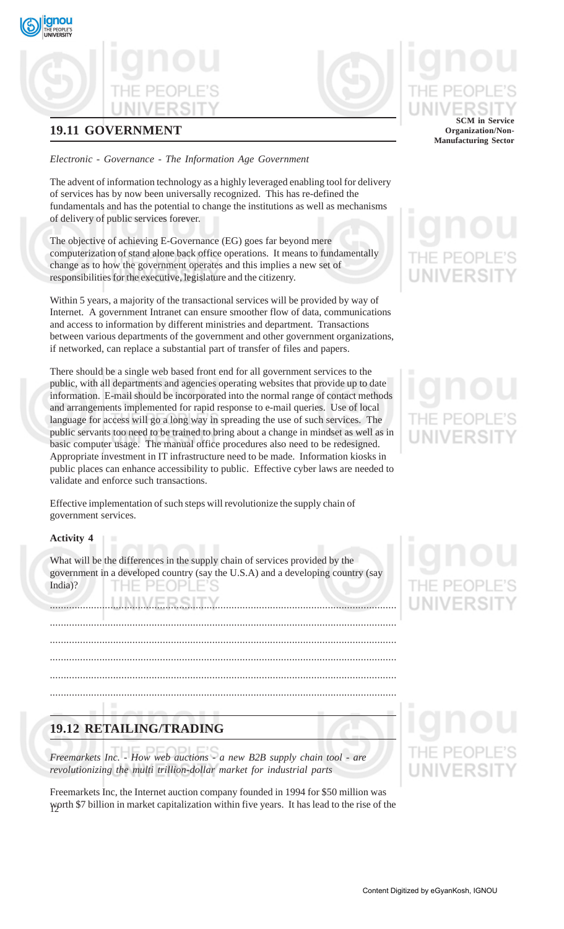## **19.11 GOVERNMENT**

qnou

## *Electronic - Governance - The Information Age Government*

The advent of information technology as a highly leveraged enabling tool for delivery of services has by now been universally recognized. This has re-defined the fundamentals and has the potential to change the institutions as well as mechanisms of delivery of public services forever.

The objective of achieving E-Governance (EG) goes far beyond mere computerization of stand alone back office operations. It means to fundamentally change as to how the government operates and this implies a new set of responsibilities for the executive, legislature and the citizenry.

Within 5 years, a majority of the transactional services will be provided by way of Internet. A government Intranet can ensure smoother flow of data, communications and access to information by different ministries and department. Transactions between various departments of the government and other government organizations, if networked, can replace a substantial part of transfer of files and papers.

There should be a single web based front end for all government services to the public, with all departments and agencies operating websites that provide up to date information. E-mail should be incorporated into the normal range of contact methods and arrangements implemented for rapid response to e-mail queries. Use of local language for access will go a long way in spreading the use of such services. The public servants too need to be trained to bring about a change in mindset as well as in basic computer usage. The manual office procedures also need to be redesigned. Appropriate investment in IT infrastructure need to be made. Information kiosks in public places can enhance accessibility to public. Effective cyber laws are needed to validate and enforce such transactions.

Effective implementation of such steps will revolutionize the supply chain of government services.

## **Activity 4**

What will be the differences in the supply chain of services provided by the government in a developed country (say the U.S.A) and a developing country (say India)? HF PFOP

..............................................................................................................................

.............................................................................................................................. .............................................................................................................................. .............................................................................................................................. .............................................................................................................................. ..............................................................................................................................

## **19.12 RETAILING/TRADING**

*Freemarkets Inc. - How web auctions - a new B2B supply chain tool - are revolutionizing the multi trillion-dollar market for industrial parts*

12 worth \$7 billion in market capitalization within five years. It has lead to the rise of the Freemarkets Inc, the Internet auction company founded in 1994 for \$50 million was

# **SCM in Service**

**Organization/Non-Manufacturing Sector**

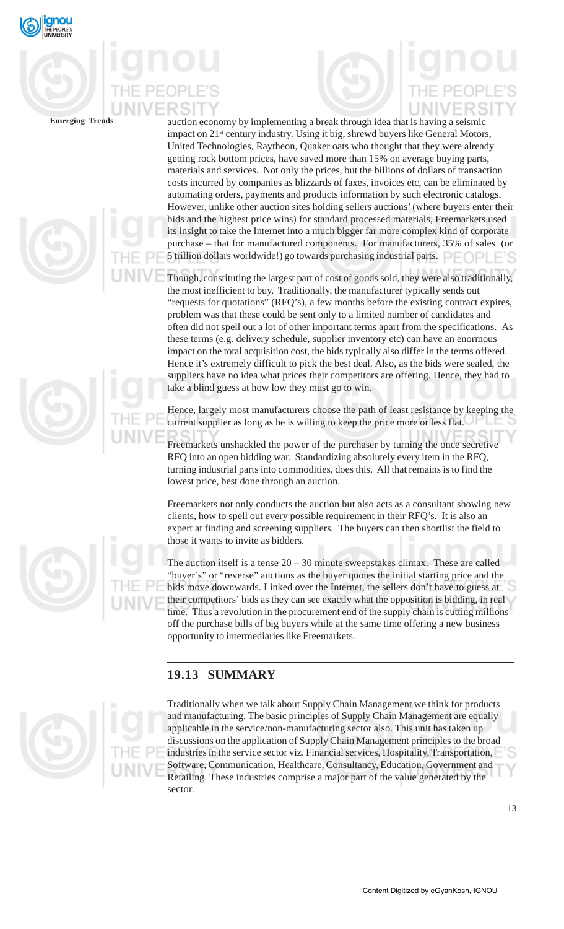

auction economy by implementing a break through idea that is having a seismic impact on 21<sup>st</sup> century industry. Using it big, shrewd buyers like General Motors, United Technologies, Raytheon, Quaker oats who thought that they were already getting rock bottom prices, have saved more than 15% on average buying parts, materials and services. Not only the prices, but the billions of dollars of transaction costs incurred by companies as blizzards of faxes, invoices etc, can be eliminated by automating orders, payments and products information by such electronic catalogs. However, unlike other auction sites holding sellers auctions' (where buyers enter their bids and the highest price wins) for standard processed materials, Freemarkets used its insight to take the Internet into a much bigger far more complex kind of corporate purchase – that for manufactured components. For manufacturers, 35% of sales (or 5 trillion dollars worldwide!) go towards purchasing industrial parts.  $\Box$ 

Though, constituting the largest part of cost of goods sold, they were also traditionally, the most inefficient to buy. Traditionally, the manufacturer typically sends out "requests for quotations" (RFQ's), a few months before the existing contract expires, problem was that these could be sent only to a limited number of candidates and often did not spell out a lot of other important terms apart from the specifications. As these terms (e.g. delivery schedule, supplier inventory etc) can have an enormous impact on the total acquisition cost, the bids typically also differ in the terms offered. Hence it's extremely difficult to pick the best deal. Also, as the bids were sealed, the suppliers have no idea what prices their competitors are offering. Hence, they had to take a blind guess at how low they must go to win.

Hence, largely most manufacturers choose the path of least resistance by keeping the current supplier as long as he is willing to keep the price more or less flat.

Freemarkets unshackled the power of the purchaser by turning the once secretive RFQ into an open bidding war. Standardizing absolutely every item in the RFQ, turning industrial parts into commodities, does this. All that remains is to find the lowest price, best done through an auction.

Freemarkets not only conducts the auction but also acts as a consultant showing new clients, how to spell out every possible requirement in their RFQ's. It is also an expert at finding and screening suppliers. The buyers can then shortlist the field to those it wants to invite as bidders.

The auction itself is a tense  $20 - 30$  minute sweepstakes climax. These are called "buyer's" or "reverse" auctions as the buyer quotes the initial starting price and the bids move downwards. Linked over the Internet, the sellers don't have to guess at their competitors' bids as they can see exactly what the opposition is bidding, in real time. Thus a revolution in the procurement end of the supply chain is cutting millions off the purchase bills of big buyers while at the same time offering a new business opportunity to intermediaries like Freemarkets.

## **19.13 SUMMARY**



Traditionally when we talk about Supply Chain Management we think for products and manufacturing. The basic principles of Supply Chain Management are equally applicable in the service/non-manufacturing sector also. This unit has taken up discussions on the application of Supply Chain Management principles to the broad industries in the service sector viz. Financial services, Hospitality, Transportation, Software, Communication, Healthcare, Consultancy, Education, Government and Retailing. These industries comprise a major part of the value generated by the sector.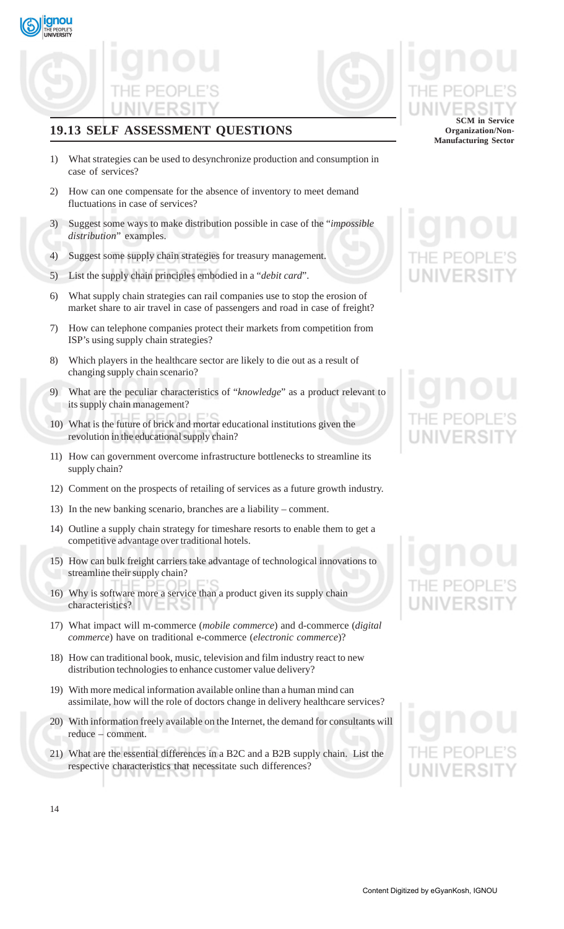**gnou** 

## **19.13 SELF ASSESSMENT QUESTIONS**

- 1) What strategies can be used to desynchronize production and consumption in case of services?
- 2) How can one compensate for the absence of inventory to meet demand fluctuations in case of services?
- 3) Suggest some ways to make distribution possible in case of the "*impossible distribution*" examples.
- 4) Suggest some supply chain strategies for treasury management.
- 5) List the supply chain principles embodied in a "*debit card*".
- 6) What supply chain strategies can rail companies use to stop the erosion of market share to air travel in case of passengers and road in case of freight?
- 7) How can telephone companies protect their markets from competition from ISP's using supply chain strategies?
- 8) Which players in the healthcare sector are likely to die out as a result of changing supply chain scenario?
- 9) What are the peculiar characteristics of "*knowledge*" as a product relevant to its supply chain management?
- What is the future of brick and mortar educational institutions given the revolution in the educational supply chain?
- 11) How can government overcome infrastructure bottlenecks to streamline its supply chain?
- 12) Comment on the prospects of retailing of services as a future growth industry.
- 13) In the new banking scenario, branches are a liability comment.
- 14) Outline a supply chain strategy for timeshare resorts to enable them to get a competitive advantage over traditional hotels.
- 15) How can bulk freight carriers take advantage of technological innovations to streamline their supply chain?
- 16) Why is software more a service than a product given its supply chain characteristics?
- 17) What impact will m-commerce (*mobile commerce*) and d-commerce (*digital commerce*) have on traditional e-commerce (*electronic commerce*)?
- 18) How can traditional book, music, television and film industry react to new distribution technologies to enhance customer value delivery?
- 19) With more medical information available online than a human mind can assimilate, how will the role of doctors change in delivery healthcare services?
- 20) With information freely available on the Internet, the demand for consultants will reduce – comment.
- 21) What are the essential differences in a B2C and a B2B supply chain. List the respective characteristics that necessitate such differences?

## **SCM in Service Organization/Non-Manufacturing Sector**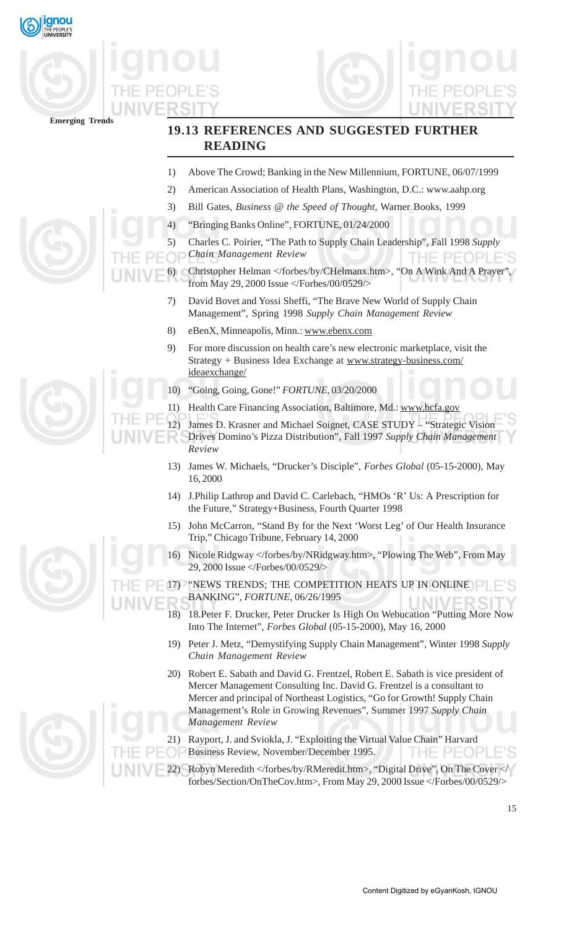





## **19.13 REFERENCES AND SUGGESTED FURTHER READING**

- 1) Above The Crowd; Banking in the New Millennium, FORTUNE, 06/07/1999
- 2) American Association of Health Plans, Washington, D.C.: www.aahp.org
- 3) Bill Gates, *Business @ the Speed of Thought*, Warner Books, 1999
- 4) "Bringing Banks Online", FORTUNE, 01/24/2000
- 5) Charles C. Poirier, "The Path to Supply Chain Leadership", Fall 1998 *Supply*
- *Chain Management Review*
- Christopher Helman </forbes/by/CHelmanx.htm>, "On A Wink And A Prayer" from May 29, 2000 Issue </Forbes/00/0529/>
	- 7) David Bovet and Yossi Sheffi, "The Brave New World of Supply Chain Management", Spring 1998 *Supply Chain Management Review*
	- 8) eBenX, Minneapolis, Minn.: www.ebenx.com
	- 9) For more discussion on health care's new electronic marketplace, visit the Strategy + Business Idea Exchange at www.strategy-business.com/ ideaexchange/
	- 10) "Going, Going, Gone!" *FORTUNE*, 03/20/2000
	- 11) Health Care Financing Association, Baltimore, Md.: www.hcfa.gov
	- 12) James D. Krasner and Michael Soignet, CASE STUDY "Strategic Vision
		- Drives Domino's Pizza Distribution", Fall 1997 *Supply Chain Management Review*
	- 13) James W. Michaels, "Drucker's Disciple", *Forbes Global* (05-15-2000), May 16, 2000
	- 14) J.Philip Lathrop and David C. Carlebach, "HMOs 'R' Us: A Prescription for the Future," Strategy+Business, Fourth Quarter 1998
	- 15) John McCarron, "Stand By for the Next 'Worst Leg' of Our Health Insurance Trip," Chicago Tribune, February 14, 2000
	- 16) Nicole Ridgway </forbes/by/NRidgway.htm>, "Plowing The Web", From May 29, 2000 Issue </Forbes/00/0529/>
	- 17) "NEWS TRENDS; THE COMPETITION HEATS UP IN ONLINE BANKING", *FORTUNE*, 06/26/1995
		- 18) 18.Peter F. Drucker, Peter Drucker Is High On Webucation "Putting More Now Into The Internet", *Forbes Global* (05-15-2000), May 16, 2000
		- 19) Peter J. Metz, "Demystifying Supply Chain Management", Winter 1998 *Supply Chain Management Review*
		- 20) Robert E. Sabath and David G. Frentzel, Robert E. Sabath is vice president of Mercer Management Consulting Inc. David G. Frentzel is a consultant to Mercer and principal of Northeast Logistics, "Go for Growth! Supply Chain Management's Role in Growing Revenues", Summer 1997 *Supply Chain Management Review*
		- 21) Rayport, J. and Sviokla, J. "Exploiting the Virtual Value Chain" Harvard Business Review, November/December 1995. HE PEC
- Robyn Meredith </forbes/by/RMeredit.htm>, "Digital Drive", On The Cover </ forbes/Section/OnTheCov.htm>, From May 29, 2000 Issue </Forbes/00/0529/>